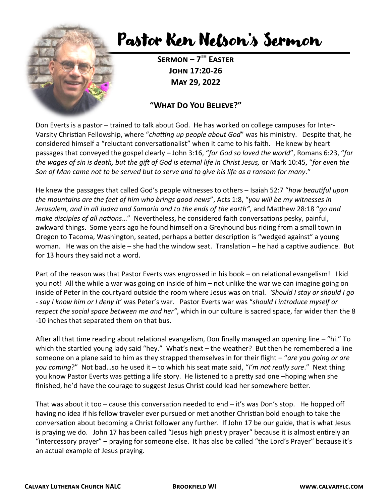

## Pastor Ken Nelson's Sermon

**Sermon – 7 th Easter John 17:20-26 May 29, 2022**

## **"What Do You Believe?"**

Don Everts is a pastor – trained to talk about God. He has worked on college campuses for Inter-Varsity Christian Fellowship, where "*chatting up people about God*" was his ministry. Despite that, he considered himself a "reluctant conversationalist" when it came to his faith. He knew by heart passages that conveyed the gospel clearly – John 3:16, "*for God so loved the world*", Romans 6:23, "*for the wages of sin is death, but the gift of God is eternal life in Christ Jesus,* or Mark 10:45, "*for even the Son of Man came not to be served but to serve and to give his life as a ransom for many*."

He knew the passages that called God's people witnesses to others – Isaiah 52:7 "*how beautiful upon the mountains are the feet of him who brings good news*", Acts 1:8, "*you will be my witnesses in Jerusalem, and in all Judea and Samaria and to the ends of the earth",* and Matthew 28:18 "*go and make disciples of all nations*…" Nevertheless, he considered faith conversations pesky, painful, awkward things. Some years ago he found himself on a Greyhound bus riding from a small town in Oregon to Tacoma, Washington, seated, perhaps a better description is "wedged against" a young woman. He was on the aisle – she had the window seat. Translation – he had a captive audience. But for 13 hours they said not a word.

Part of the reason was that Pastor Everts was engrossed in his book – on relational evangelism! I kid you not! All the while a war was going on inside of him – not unlike the war we can imagine going on inside of Peter in the courtyard outside the room where Jesus was on trial. *'Should I stay or should I go - say I know him or I deny it*' was Peter's war. Pastor Everts war was "*should I introduce myself or respect the social space between me and her"*, which in our culture is sacred space, far wider than the 8 -10 inches that separated them on that bus.

After all that time reading about relational evangelism, Don finally managed an opening line – "hi." To which the startled young lady said "hey." What's next - the weather? But then he remembered a line someone on a plane said to him as they strapped themselves in for their flight – "*are you going or are you coming*?" Not bad…so he used it – to which his seat mate said, "*I'm not really sure*." Next thing you know Pastor Everts was getting a life story. He listened to a pretty sad one –hoping when she finished, he'd have the courage to suggest Jesus Christ could lead her somewhere better.

That was about it too – cause this conversation needed to end – it's was Don's stop. He hopped off having no idea if his fellow traveler ever pursued or met another Christian bold enough to take the conversation about becoming a Christ follower any further. If John 17 be our guide, that is what Jesus is praying we do. John 17 has been called "Jesus high priestly prayer" because it is almost entirely an "intercessory prayer" – praying for someone else. It has also be called "the Lord's Prayer" because it's an actual example of Jesus praying.